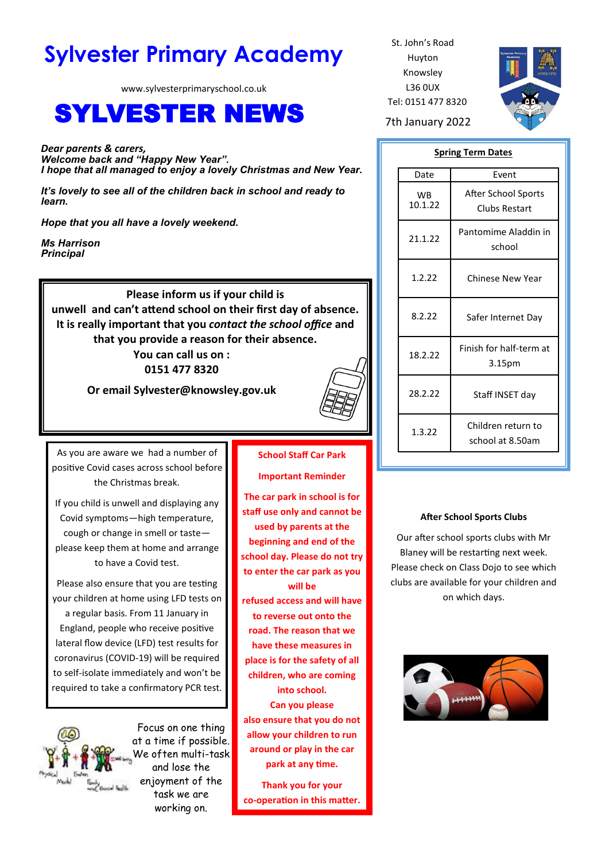# **Sylvester Primary Academy** St. John's Road

www.sylvesterprimaryschool.co.uk

# SYLVESTER NEWS 7th January 2022

*Dear parents & carers, Welcome back and "Happy New Year". I hope that all managed to enjoy a lovely Christmas and New Year.*

*It's lovely to see all of the children back in school and ready to learn.*

*Hope that you all have a lovely weekend.*

*Ms Harrison Principal*

> **Please inform us if your child is unwell and can't attend school on their first day of absence. It is really important that you** *contact the school office* **and that you provide a reason for their absence. You can call us on :**

**0151 477 8320**

**Or email Sylvester@knowsley.gov.uk**



As you are aware we had a number of positive Covid cases across school before the Christmas break.

If you child is unwell and displaying any Covid symptoms—high temperature, cough or change in smell or taste please keep them at home and arrange to have a Covid test.

Please also ensure that you are testing your children at home using LFD tests on a regular basis. From 11 January in England, people who receive positive lateral flow device (LFD) test results for coronavirus (COVID-19) will be required to self-isolate immediately and won't be required to take a confirmatory PCR test.



Focus on one thing at a time if possible. We often multi-task and lose the enjoyment of the task we are working on.

# **School Staff Car Park**

**Important Reminder**

**The car park in school is for staff use only and cannot be used by parents at the beginning and end of the school day. Please do not try to enter the car park as you will be refused access and will have to reverse out onto the road. The reason that we have these measures in place is for the safety of all children, who are coming into school. Can you please also ensure that you do not allow your children to run around or play in the car park at any time.**

**Thank you for your co-operation in this matter.**

Huyton Knowsley L36 0UX Tel: 0151 477 8320



#### **Spring Term Dates**

| Date                 | Event                                  |
|----------------------|----------------------------------------|
| <b>WB</b><br>10.1.22 | After School Sports<br>Clubs Restart   |
| 21.1.22              | Pantomime Aladdin in<br>school         |
| 1.2.22               | <b>Chinese New Year</b>                |
| 8.2.22               | Safer Internet Day                     |
| 18.2.22              | Finish for half-term at<br>3.15pm      |
| 28.2.22              | Staff INSET day                        |
| 1.3.22               | Children return to<br>school at 8.50am |

#### **After School Sports Clubs**

Our after school sports clubs with Mr Blaney will be restarting next week. Please check on Class Dojo to see which clubs are available for your children and on which days.